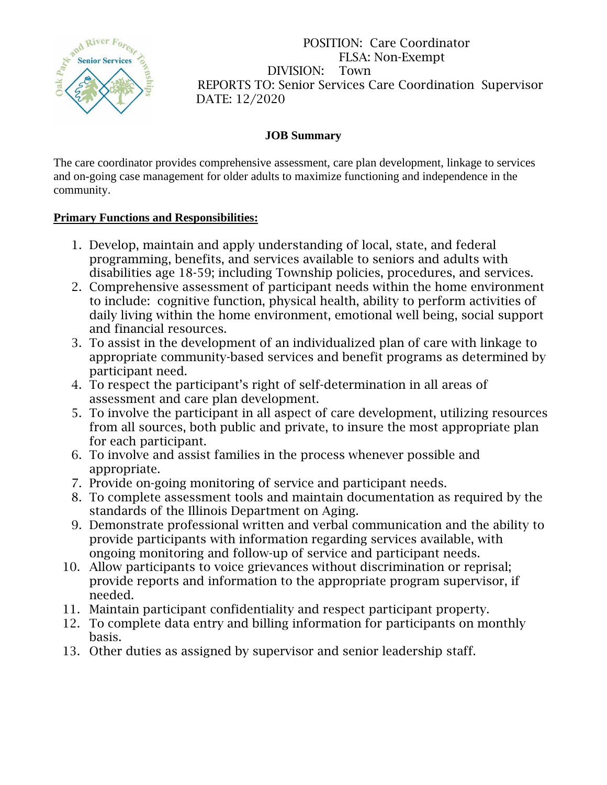

POSITION: Care Coordinator FLSA: Non-Exempt DIVISION: Town REPORTS TO: Senior Services Care Coordination Supervisor DATE: 12/2020

## **JOB Summary**

The care coordinator provides comprehensive assessment, care plan development, linkage to services and on-going case management for older adults to maximize functioning and independence in the community.

## **Primary Functions and Responsibilities:**

- 1. Develop, maintain and apply understanding of local, state, and federal programming, benefits, and services available to seniors and adults with disabilities age 18-59; including Township policies, procedures, and services.
- 2. Comprehensive assessment of participant needs within the home environment to include: cognitive function, physical health, ability to perform activities of daily living within the home environment, emotional well being, social support and financial resources.
- 3. To assist in the development of an individualized plan of care with linkage to appropriate community-based services and benefit programs as determined by participant need.
- 4. To respect the participant's right of self-determination in all areas of assessment and care plan development.
- 5. To involve the participant in all aspect of care development, utilizing resources from all sources, both public and private, to insure the most appropriate plan for each participant.
- 6. To involve and assist families in the process whenever possible and appropriate.
- 7. Provide on-going monitoring of service and participant needs.
- 8. To complete assessment tools and maintain documentation as required by the standards of the Illinois Department on Aging.
- 9. Demonstrate professional written and verbal communication and the ability to provide participants with information regarding services available, with ongoing monitoring and follow-up of service and participant needs.
- 10. Allow participants to voice grievances without discrimination or reprisal; provide reports and information to the appropriate program supervisor, if needed.
- 11. Maintain participant confidentiality and respect participant property.
- 12. To complete data entry and billing information for participants on monthly basis.
- 13. Other duties as assigned by supervisor and senior leadership staff.